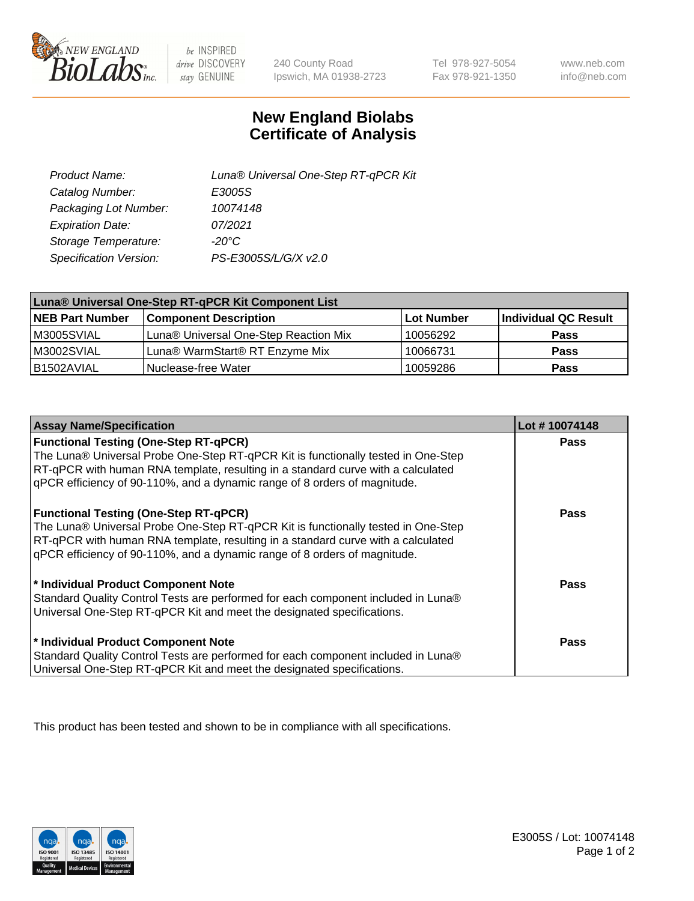

 $be$  INSPIRED drive DISCOVERY stay GENUINE

240 County Road Ipswich, MA 01938-2723

Tel 978-927-5054 Fax 978-921-1350

www.neb.com info@neb.com

## **New England Biolabs Certificate of Analysis**

| Product Name:           | Luna® Universal One-Step RT-qPCR Kit |  |
|-------------------------|--------------------------------------|--|
| Catalog Number:         | E3005S                               |  |
| Packaging Lot Number:   | 10074148                             |  |
| <b>Expiration Date:</b> | 07/2021                              |  |
| Storage Temperature:    | $-20^{\circ}$ C                      |  |
| Specification Version:  | PS-E3005S/L/G/X v2.0                 |  |

| Luna® Universal One-Step RT-qPCR Kit Component List |                                       |            |                      |  |
|-----------------------------------------------------|---------------------------------------|------------|----------------------|--|
| <b>NEB Part Number</b>                              | <b>Component Description</b>          | Lot Number | Individual QC Result |  |
| M3005SVIAL                                          | Luna® Universal One-Step Reaction Mix | 10056292   | <b>Pass</b>          |  |
| M3002SVIAL                                          | Luna® WarmStart® RT Enzyme Mix        | 10066731   | <b>Pass</b>          |  |
| B1502AVIAL                                          | Nuclease-free Water                   | 10059286   | <b>Pass</b>          |  |

| <b>Assay Name/Specification</b>                                                                                                                                                                                                                                                                    | Lot #10074148 |
|----------------------------------------------------------------------------------------------------------------------------------------------------------------------------------------------------------------------------------------------------------------------------------------------------|---------------|
| <b>Functional Testing (One-Step RT-qPCR)</b><br>The Luna® Universal Probe One-Step RT-qPCR Kit is functionally tested in One-Step<br>RT-qPCR with human RNA template, resulting in a standard curve with a calculated<br>qPCR efficiency of 90-110%, and a dynamic range of 8 orders of magnitude. | <b>Pass</b>   |
| <b>Functional Testing (One-Step RT-qPCR)</b><br>The Luna® Universal Probe One-Step RT-qPCR Kit is functionally tested in One-Step<br>RT-qPCR with human RNA template, resulting in a standard curve with a calculated<br>qPCR efficiency of 90-110%, and a dynamic range of 8 orders of magnitude. | Pass          |
| * Individual Product Component Note<br>Standard Quality Control Tests are performed for each component included in Luna®<br>Universal One-Step RT-qPCR Kit and meet the designated specifications.                                                                                                 | Pass          |
| * Individual Product Component Note<br>Standard Quality Control Tests are performed for each component included in Luna®<br>Universal One-Step RT-qPCR Kit and meet the designated specifications.                                                                                                 | <b>Pass</b>   |

This product has been tested and shown to be in compliance with all specifications.